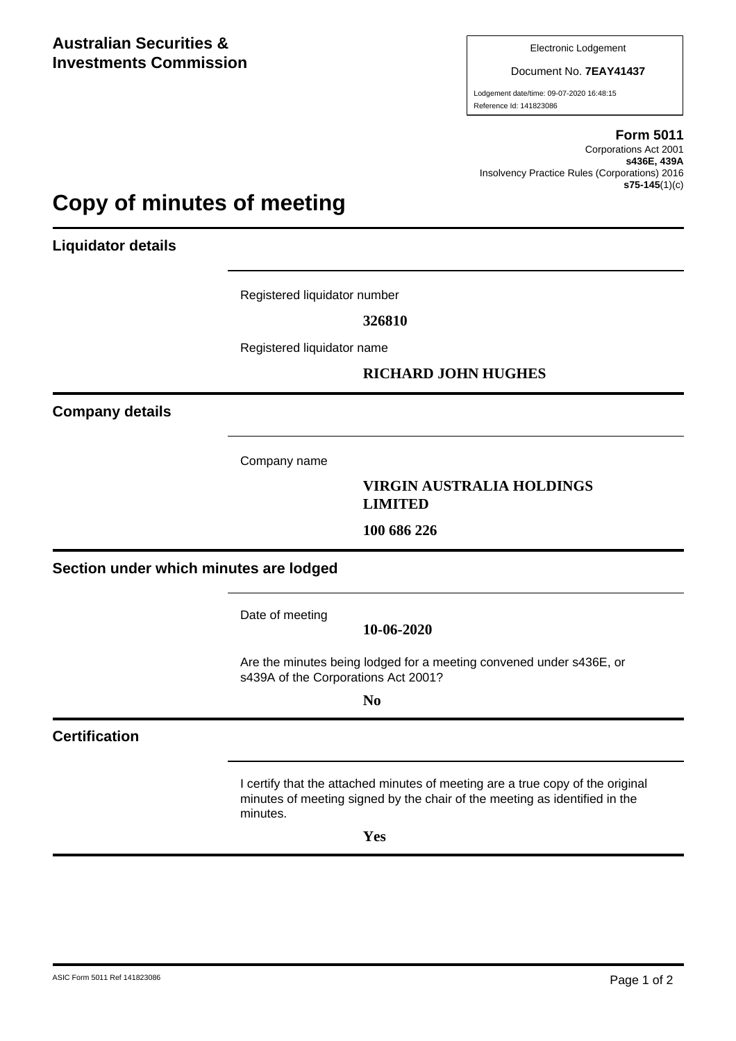Electronic Lodgement

Document No. **7EAY41437**

Lodgement date/time: 09-07-2020 16:48:15 Reference Id: 141823086

#### **Form 5011**

Corporations Act 2001 **s436E, 439A** Insolvency Practice Rules (Corporations) 2016 **s75-145**(1)(c)

### **Copy of minutes of meeting**

**Liquidator details**

Registered liquidator number

**326810**

Registered liquidator name

#### **RICHARD JOHN HUGHES**

**Company details**

Company name

#### **VIRGIN AUSTRALIA HOLDINGS LIMITED**

**100 686 226**

**Section under which minutes are lodged**

Date of meeting

**10-06-2020**

Are the minutes being lodged for a meeting convened under s436E, or s439A of the Corporations Act 2001?

**No**

#### **Certification**

I certify that the attached minutes of meeting are a true copy of the original minutes of meeting signed by the chair of the meeting as identified in the minutes.

**Yes**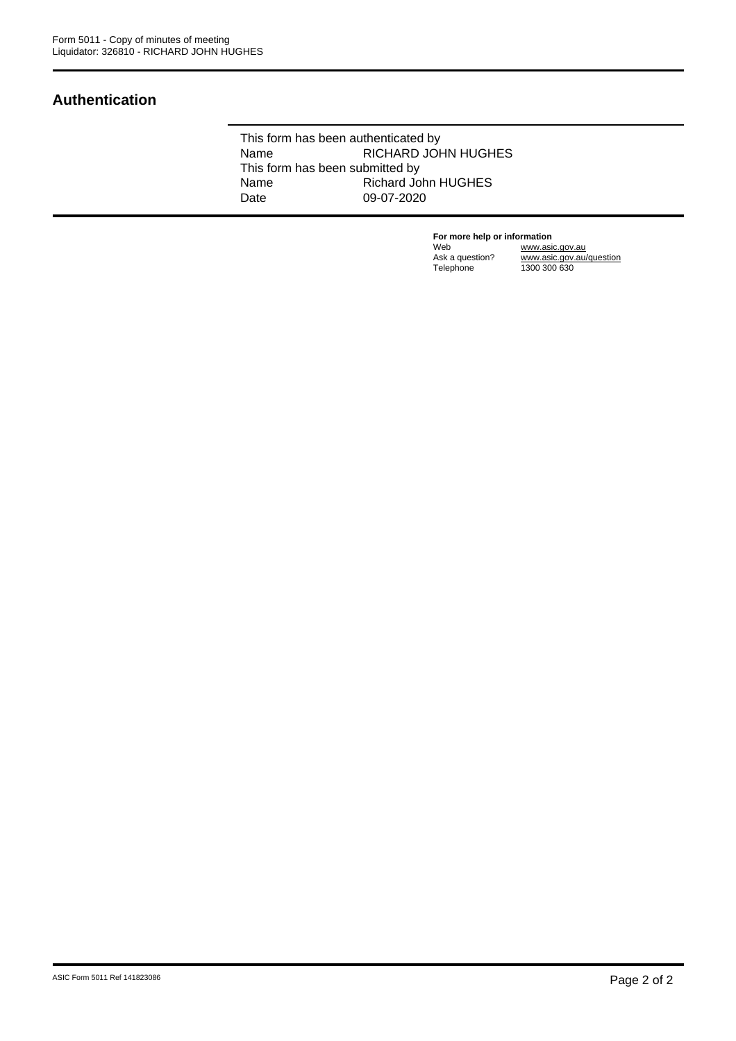#### **Authentication**

This form has been authenticated by Name RICHARD JOHN HUGHES This form has been submitted by<br>Name Richard Jo Richard John HUGHES Date 09-07-2020

> **For more help or information**<br>Web www.asi Web www.asic.gov.au Ask a question? www.asic.gov.au/question Telephone 1300 300 630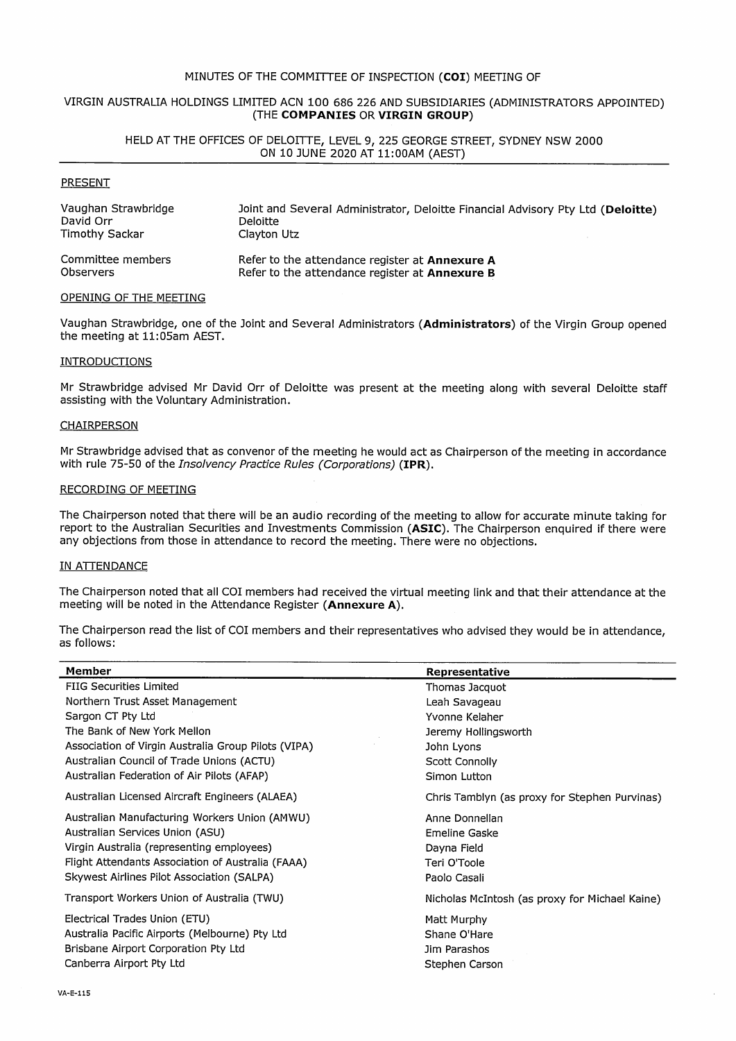#### MINUTES OF THE COMMITTEE OF INSPECTION (COI) MEETING OF

#### VIRGIN AUSTRALIA HOLDINGS LIMITED ACN 100 686 226 AND SUBSIDIARIES (ADMINISTRATORS APPOINTED) (THE COMPANIES OR VIRGIN GROUP)

#### HELD AT THE OFFICES OF DELOITTE, LEVEL 9, 225 GEORGE STREET, SYDNEY NSW 2000 ON 10 JUNE 2020 AT 11:00AM (AEST)

#### **PRESENT**

| Vaughan Strawbridge | Joint and Several Administrator, Deloitte Financial Advisory Pty Ltd (Deloitte) |
|---------------------|---------------------------------------------------------------------------------|
| David Orr           | <b>Deloitte</b>                                                                 |
| Timothy Sackar      | Clayton Utz                                                                     |
| Committee members   | Refer to the attendance register at Annexure A                                  |
| <b>Observers</b>    | Refer to the attendance register at <b>Annexure B</b>                           |

#### OPENING OF THE MEETING

Vaughan Strawbridge, one of the Joint and Several Administrators (Administrators) of the Virgin Group opened the meeting at 11:05am AEST.

#### **INTRODUCTIONS**

Mr Strawbridge advised Mr David Orr of Deloitte was present at the meeting along with several Deloitte staff assisting with the Voluntary Administration.

#### **CHAIRPERSON**

Mr Strawbridge advised that as convenor of the meeting he would act as Chairperson of the meeting in accordance with rule 75-50 of the Insolvency Practice Rules (Corporations) (IPR).

#### **RECORDING OF MEETING**

The Chairperson noted that there will be an audio recording of the meeting to allow for accurate minute taking for report to the Australian Securities and Investments Commission (ASIC). The Chairperson enquired if there were any objections from those in attendance to record the meeting. There were no objections.

#### IN ATTENDANCE

The Chairperson noted that all COI members had received the virtual meeting link and that their attendance at the meeting will be noted in the Attendance Register (Annexure A).

The Chairperson read the list of COI members and their representatives who advised they would be in attendance. as follows:

| Member                                              | Representative                                 |
|-----------------------------------------------------|------------------------------------------------|
| <b>FIIG Securities Limited</b>                      | Thomas Jacquot                                 |
| Northern Trust Asset Management                     | Leah Savageau                                  |
| Sargon CT Pty Ltd                                   | Yvonne Kelaher                                 |
| The Bank of New York Mellon                         | Jeremy Hollingsworth                           |
| Association of Virgin Australia Group Pilots (VIPA) | John Lyons                                     |
| Australian Council of Trade Unions (ACTU)           | Scott Connolly                                 |
| Australian Federation of Air Pilots (AFAP)          | Simon Lutton                                   |
| Australian Licensed Aircraft Engineers (ALAEA)      | Chris Tamblyn (as proxy for Stephen Purvinas)  |
| Australian Manufacturing Workers Union (AMWU)       | Anne Donnellan                                 |
| Australian Services Union (ASU)                     | Emeline Gaske                                  |
| Virgin Australia (representing employees)           | Dayna Field                                    |
| Flight Attendants Association of Australia (FAAA)   | Teri O'Toole                                   |
| Skywest Airlines Pilot Association (SALPA)          | Paolo Casali                                   |
| Transport Workers Union of Australia (TWU)          | Nicholas McIntosh (as proxy for Michael Kaine) |
| Electrical Trades Union (ETU)                       | Matt Murphy                                    |
| Australia Pacific Airports (Melbourne) Pty Ltd      | Shane O'Hare                                   |
| Brisbane Airport Corporation Pty Ltd                | Jim Parashos                                   |
| Canberra Airport Pty Ltd                            | Stephen Carson                                 |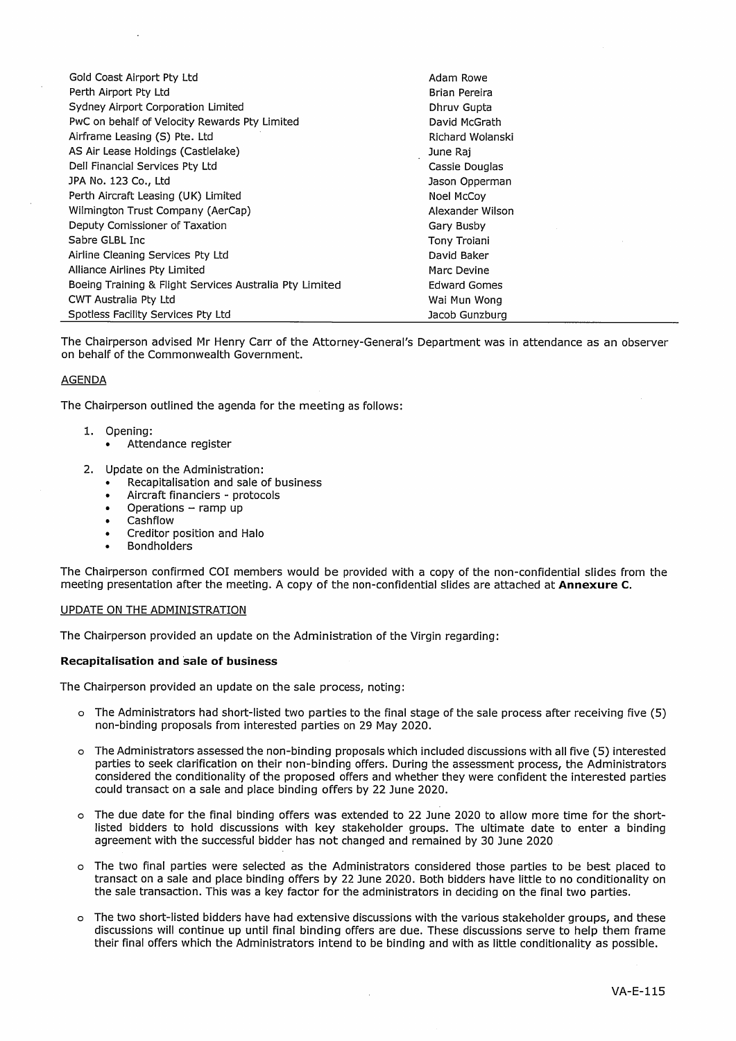| Gold Coast Airport Pty Ltd                              | Adam Rowe           |
|---------------------------------------------------------|---------------------|
| Perth Airport Pty Ltd                                   | Brian Pereira       |
| Sydney Airport Corporation Limited                      | Dhruy Gupta         |
| PwC on behalf of Velocity Rewards Pty Limited           | David McGrath       |
| Airframe Leasing (S) Pte. Ltd                           | Richard Wolanski    |
| AS Air Lease Holdings (Castlelake)                      | June Rai            |
| Dell Financial Services Pty Ltd                         | Cassie Douglas      |
| JPA No. 123 Co., Ltd                                    | Jason Opperman      |
| Perth Aircraft Leasing (UK) Limited                     | Noel McCoy          |
| Wilmington Trust Company (AerCap)                       | Alexander Wilson    |
| Deputy Comissioner of Taxation                          | Gary Busby          |
| Sabre GLBL Inc.                                         | Tony Troiani        |
| Airline Cleaning Services Pty Ltd                       | David Baker         |
| Alliance Airlines Pty Limited                           | Marc Devine         |
| Boeing Training & Flight Services Australia Pty Limited | <b>Edward Gomes</b> |
| CWT Australia Pty Ltd                                   | Wai Mun Wong        |
| Spotless Facility Services Pty Ltd                      | Jacob Gunzburg      |

The Chairperson advised Mr Henry Carr of the Attorney-General's Department was in attendance as an observer on behalf of the Commonwealth Government.

#### **AGENDA**

The Chairperson outlined the agenda for the meeting as follows:

- 1. Opening:
	- Attendance register
- 2. Update on the Administration:
	- Recapitalisation and sale of business
	- Aircraft financiers protocols
	- Operations  $-$  ramp up
	- Cashflow
	- Creditor position and Halo
	- **Bondholders**

The Chairperson confirmed COI members would be provided with a copy of the non-confidential slides from the meeting presentation after the meeting. A copy of the non-confidential slides are attached at Annexure C.

#### UPDATE ON THE ADMINISTRATION

The Chairperson provided an update on the Administration of the Virgin regarding:

#### **Recapitalisation and sale of business**

The Chairperson provided an update on the sale process, noting:

- o The Administrators had short-listed two parties to the final stage of the sale process after receiving five (5) non-binding proposals from interested parties on 29 May 2020.
- o The Administrators assessed the non-binding proposals which included discussions with all five (5) interested parties to seek clarification on their non-binding offers. During the assessment process, the Administrators considered the conditionality of the proposed offers and whether they were confident the interested parties could transact on a sale and place binding offers by 22 June 2020.
- o The due date for the final binding offers was extended to 22 June 2020 to allow more time for the shortlisted bidders to hold discussions with key stakeholder groups. The ultimate date to enter a binding agreement with the successful bidder has not changed and remained by 30 June 2020
- o The two final parties were selected as the Administrators considered those parties to be best placed to transact on a sale and place binding offers by 22 June 2020. Both bidders have little to no conditionality on the sale transaction. This was a key factor for the administrators in deciding on the final two parties.
- o The two short-listed bidders have had extensive discussions with the various stakeholder groups, and these discussions will continue up until final binding offers are due. These discussions serve to help them frame their final offers which the Administrators intend to be binding and with as little conditionality as possible.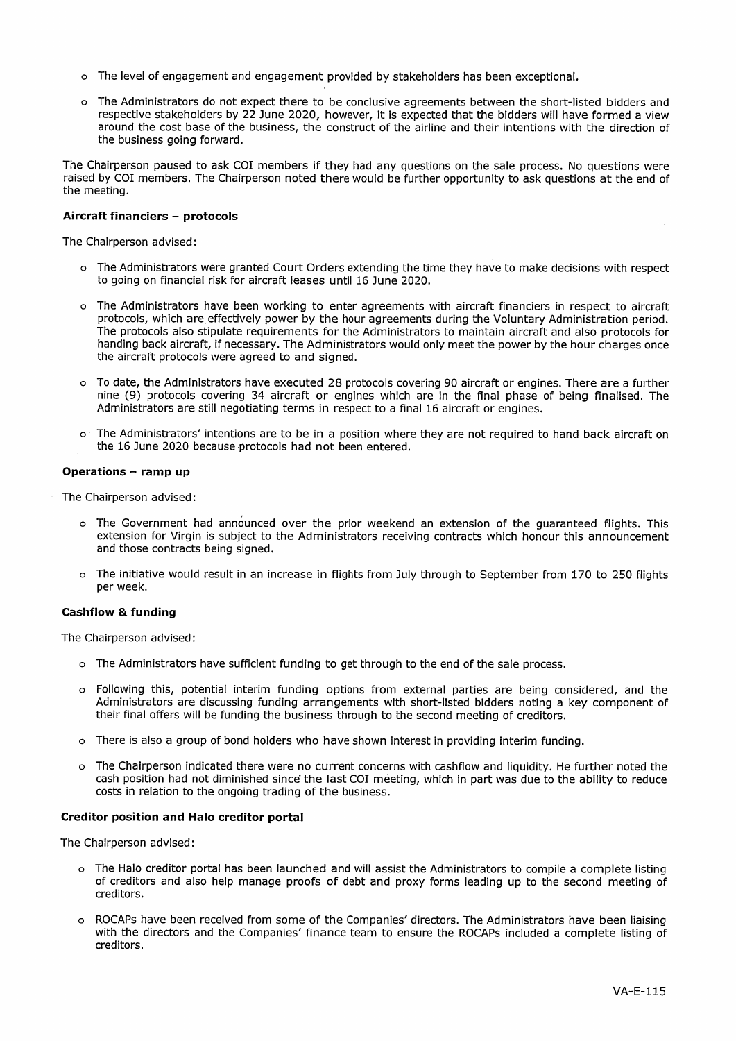- o The level of engagement and engagement provided by stakeholders has been exceptional.
- o The Administrators do not expect there to be conclusive agreements between the short-listed bidders and respective stakeholders by 22 June 2020, however, it is expected that the bidders will have formed a view around the cost base of the business, the construct of the airline and their intentions with the direction of the business going forward.

The Chairperson paused to ask COI members if they had any questions on the sale process. No questions were raised by COI members. The Chairperson noted there would be further opportunity to ask questions at the end of the meeting.

#### Aircraft financiers - protocols

The Chairperson advised:

- o The Administrators were granted Court Orders extending the time they have to make decisions with respect to going on financial risk for aircraft leases until 16 June 2020.
- o The Administrators have been working to enter agreements with aircraft financiers in respect to aircraft protocols, which are effectively power by the hour agreements during the Voluntary Administration period. The protocols also stipulate requirements for the Administrators to maintain aircraft and also protocols for handing back aircraft, if necessary. The Administrators would only meet the power by the hour charges once the aircraft protocols were agreed to and signed.
- o To date, the Administrators have executed 28 protocols covering 90 aircraft or engines. There are a further nine (9) protocols covering 34 aircraft or engines which are in the final phase of being finalised. The Administrators are still negotiating terms in respect to a final 16 aircraft or engines.
- o The Administrators' intentions are to be in a position where they are not required to hand back aircraft on the 16 June 2020 because protocols had not been entered.

#### Operations - ramp up

The Chairperson advised:

- o The Government had announced over the prior weekend an extension of the guaranteed flights. This extension for Virgin is subject to the Administrators receiving contracts which honour this announcement and those contracts being signed.
- o The initiative would result in an increase in flights from July through to September from 170 to 250 flights per week.

#### **Cashflow & funding**

The Chairperson advised:

- o The Administrators have sufficient funding to get through to the end of the sale process.
- o Following this, potential interim funding options from external parties are being considered, and the Administrators are discussing funding arrangements with short-listed bidders noting a key component of their final offers will be funding the business through to the second meeting of creditors.
- o There is also a group of bond holders who have shown interest in providing interim funding.
- o The Chairperson indicated there were no current concerns with cashflow and liquidity. He further noted the cash position had not diminished since the last COI meeting, which in part was due to the ability to reduce costs in relation to the ongoing trading of the business.

#### **Creditor position and Halo creditor portal**

The Chairperson advised:

- o The Halo creditor portal has been launched and will assist the Administrators to compile a complete listing of creditors and also help manage proofs of debt and proxy forms leading up to the second meeting of creditors.
- o ROCAPs have been received from some of the Companies' directors. The Administrators have been liaising with the directors and the Companies' finance team to ensure the ROCAPs included a complete listing of creditors.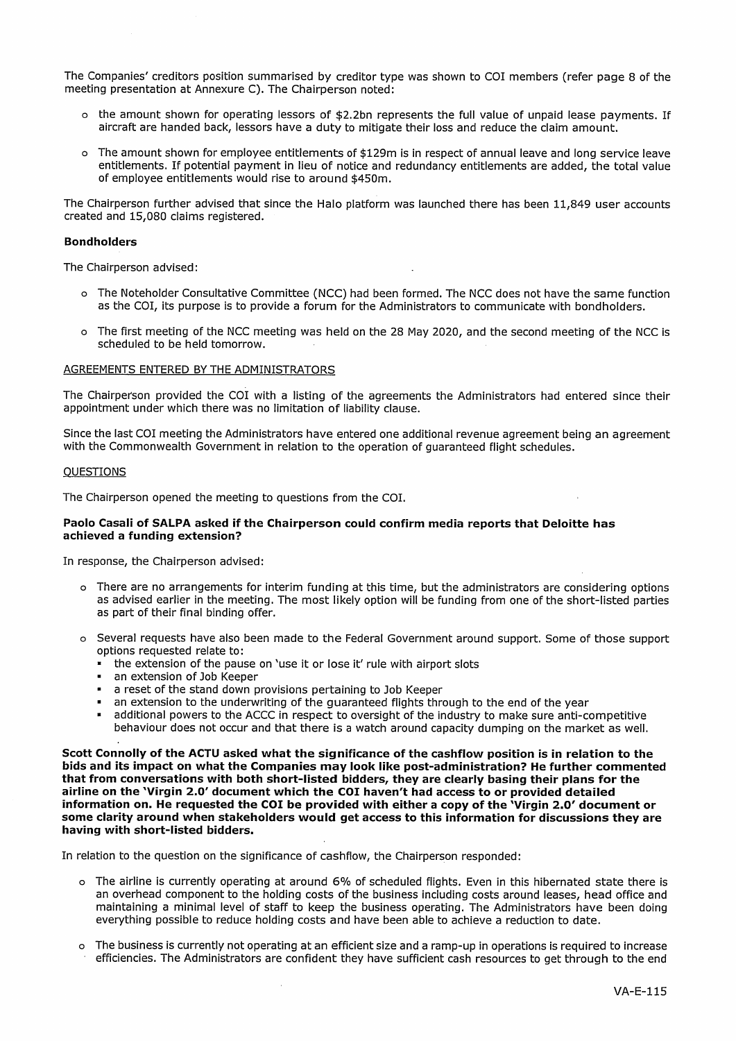The Companies' creditors position summarised by creditor type was shown to COI members (refer page 8 of the meeting presentation at Annexure C). The Chairperson noted:

- o the amount shown for operating lessors of \$2.2bn represents the full value of unpaid lease payments. If aircraft are handed back, lessors have a duty to mitigate their loss and reduce the claim amount.
- o The amount shown for employee entitlements of \$129m is in respect of annual leave and long service leave entitlements. If potential payment in lieu of notice and redundancy entitlements are added, the total value of employee entitlements would rise to around \$450m.

The Chairperson further advised that since the Halo platform was launched there has been 11,849 user accounts created and 15,080 claims registered.

#### **Bondholders**

The Chairperson advised:

- o The Noteholder Consultative Committee (NCC) had been formed. The NCC does not have the same function as the COI, its purpose is to provide a forum for the Administrators to communicate with bondholders.
- o The first meeting of the NCC meeting was held on the 28 May 2020, and the second meeting of the NCC is scheduled to be held tomorrow.

#### AGREEMENTS ENTERED BY THE ADMINISTRATORS

The Chairperson provided the COI with a listing of the agreements the Administrators had entered since their appointment under which there was no limitation of liability clause.

Since the last COI meeting the Administrators have entered one additional revenue agreement being an agreement with the Commonwealth Government in relation to the operation of quaranteed flight schedules.

#### **QUESTIONS**

The Chairperson opened the meeting to questions from the COI.

#### Paolo Casali of SALPA asked if the Chairperson could confirm media reports that Deloitte has achieved a funding extension?

In response, the Chairperson advised:

- o There are no arrangements for interim funding at this time, but the administrators are considering options as advised earlier in the meeting. The most likely option will be funding from one of the short-listed parties as part of their final binding offer.
- o Several requests have also been made to the Federal Government around support. Some of those support options requested relate to:
	- the extension of the pause on 'use it or lose it' rule with airport slots
	- an extension of Job Keeper
	- a reset of the stand down provisions pertaining to Job Keeper
	- an extension to the underwriting of the guaranteed flights through to the end of the year
	- additional powers to the ACCC in respect to oversight of the industry to make sure anti-competitive behaviour does not occur and that there is a watch around capacity dumping on the market as well.

Scott Connolly of the ACTU asked what the significance of the cashflow position is in relation to the bids and its impact on what the Companies may look like post-administration? He further commented that from conversations with both short-listed bidders, they are clearly basing their plans for the airline on the 'Virgin 2.0' document which the COI haven't had access to or provided detailed information on. He requested the COI be provided with either a copy of the Virgin 2.0' document or some clarity around when stakeholders would get access to this information for discussions they are having with short-listed bidders.

In relation to the question on the significance of cashflow, the Chairperson responded:

- o The airline is currently operating at around 6% of scheduled flights. Even in this hibernated state there is an overhead component to the holding costs of the business including costs around leases, head office and maintaining a minimal level of staff to keep the business operating. The Administrators have been doing everything possible to reduce holding costs and have been able to achieve a reduction to date.
- o The business is currently not operating at an efficient size and a ramp-up in operations is required to increase efficiencies. The Administrators are confident they have sufficient cash resources to get through to the end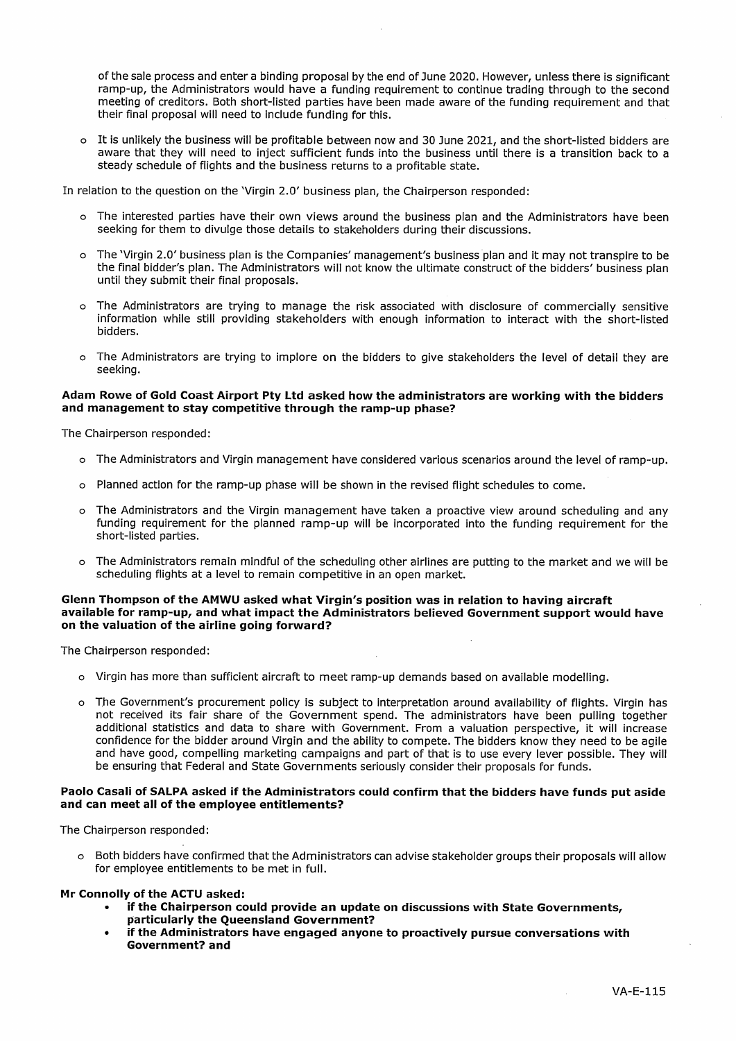of the sale process and enter a binding proposal by the end of June 2020. However, unless there is significant ramp-up, the Administrators would have a funding requirement to continue trading through to the second meeting of creditors. Both short-listed parties have been made aware of the funding requirement and that their final proposal will need to include funding for this.

o It is unlikely the business will be profitable between now and 30 June 2021, and the short-listed bidders are aware that they will need to inject sufficient funds into the business until there is a transition back to a steady schedule of flights and the business returns to a profitable state.

In relation to the question on the 'Virgin 2.0' business plan, the Chairperson responded:

- o The interested parties have their own views around the business plan and the Administrators have been seeking for them to divulge those details to stakeholders during their discussions.
- o The 'Virgin 2.0' business plan is the Companies' management's business plan and it may not transpire to be the final bidder's plan. The Administrators will not know the ultimate construct of the bidders' business plan until they submit their final proposals.
- o The Administrators are trying to manage the risk associated with disclosure of commercially sensitive information while still providing stakeholders with enough information to interact with the short-listed **hidders**
- o The Administrators are trying to implore on the bidders to give stakeholders the level of detail they are seeking.

#### Adam Rowe of Gold Coast Airport Pty Ltd asked how the administrators are working with the bidders and management to stay competitive through the ramp-up phase?

The Chairperson responded:

- o The Administrators and Virgin management have considered various scenarios around the level of ramp-up.
- o Planned action for the ramp-up phase will be shown in the revised flight schedules to come.
- o The Administrators and the Virgin management have taken a proactive view around scheduling and any funding requirement for the planned ramp-up will be incorporated into the funding requirement for the short-listed parties.
- o The Administrators remain mindful of the scheduling other airlines are putting to the market and we will be scheduling flights at a level to remain competitive in an open market.

#### Glenn Thompson of the AMWU asked what Virgin's position was in relation to having aircraft available for ramp-up, and what impact the Administrators believed Government support would have on the valuation of the airline going forward?

The Chairperson responded:

- o Virgin has more than sufficient aircraft to meet ramp-up demands based on available modelling.
- o The Government's procurement policy is subject to interpretation around availability of flights. Virgin has not received its fair share of the Government spend. The administrators have been pulling together additional statistics and data to share with Government. From a valuation perspective, it will increase confidence for the bidder around Virgin and the ability to compete. The bidders know they need to be agile and have good, compelling marketing campaigns and part of that is to use every lever possible. They will be ensuring that Federal and State Governments seriously consider their proposals for funds.

#### Paolo Casali of SALPA asked if the Administrators could confirm that the bidders have funds put aside and can meet all of the employee entitlements?

The Chairperson responded:

o Both bidders have confirmed that the Administrators can advise stakeholder groups their proposals will allow for employee entitlements to be met in full.

#### Mr Connolly of the ACTU asked:

- if the Chairperson could provide an update on discussions with State Governments, particularly the Queensland Government?
- if the Administrators have engaged anyone to proactively pursue conversations with Government? and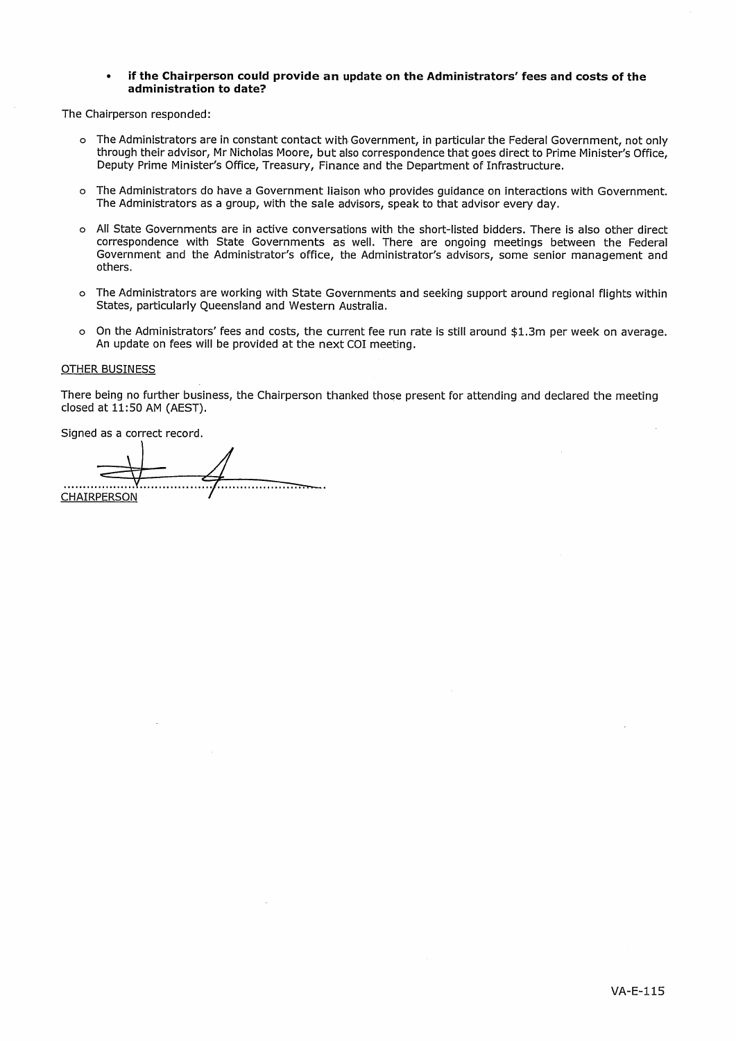#### if the Chairperson could provide an update on the Administrators' fees and costs of the administration to date?

The Chairperson responded:

- o The Administrators are in constant contact with Government, in particular the Federal Government, not only through their advisor, Mr Nicholas Moore, but also correspondence that goes direct to Prime Minister's Office, Deputy Prime Minister's Office, Treasury, Finance and the Department of Infrastructure.
- o The Administrators do have a Government liaison who provides quidance on interactions with Government. The Administrators as a group, with the sale advisors, speak to that advisor every day.
- o All State Governments are in active conversations with the short-listed bidders. There is also other direct correspondence with State Governments as well. There are ongoing meetings between the Federal Government and the Administrator's office, the Administrator's advisors, some senior management and others.
- o The Administrators are working with State Governments and seeking support around regional flights within States, particularly Queensland and Western Australia.
- o On the Administrators' fees and costs, the current fee run rate is still around \$1.3m per week on average. An update on fees will be provided at the next COI meeting.

#### **OTHER BUSINESS**

There being no further business, the Chairperson thanked those present for attending and declared the meeting closed at 11:50 AM (AEST).

Signed as a correct record.

**CHAIRPERSON**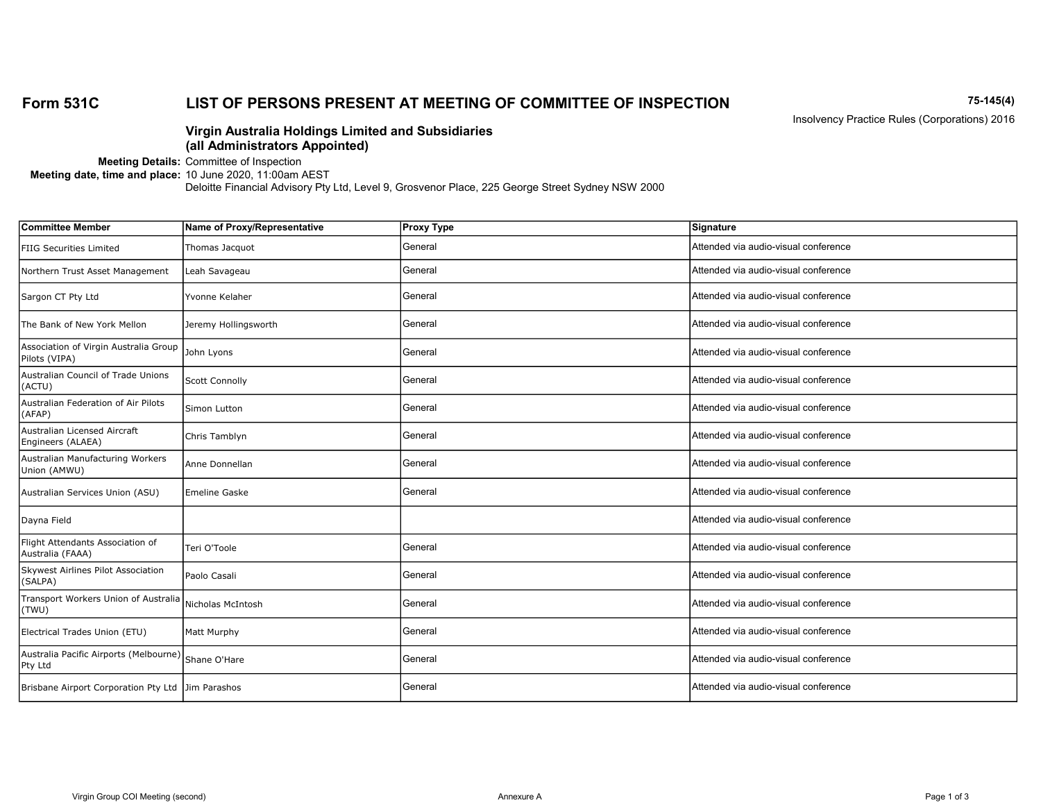#### Form 531C LIST OF PERSONS PRESENT AT MEETING OF COMMITTEE OF INSPECTION 75-145(4)

Insolvency Practice Rules (Corporations) 2016

#### Virgin Australia Holdings Limited and Subsidiaries (all Administrators Appointed)

Meeting Details: Committee of Inspection

Meeting date, time and place: 10 June 2020, 11:00am AEST

| <b>Committee Member</b>                                        | Name of Proxy/Representative | <b>Proxy Type</b> | Signature                            |
|----------------------------------------------------------------|------------------------------|-------------------|--------------------------------------|
| <b>FIIG Securities Limited</b>                                 | Thomas Jacquot               | General           | Attended via audio-visual conference |
| Northern Trust Asset Management                                | Leah Savageau                | General           | Attended via audio-visual conference |
| Sargon CT Pty Ltd                                              | Yvonne Kelaher               | General           | Attended via audio-visual conference |
| The Bank of New York Mellon                                    | Jeremy Hollingsworth         | General           | Attended via audio-visual conference |
| Association of Virgin Australia Group<br>Pilots (VIPA)         | John Lyons                   | General           | Attended via audio-visual conference |
| Australian Council of Trade Unions<br>(ACTU)                   | Scott Connolly               | General           | Attended via audio-visual conference |
| Australian Federation of Air Pilots<br>(AFAP)                  | Simon Lutton                 | General           | Attended via audio-visual conference |
| Australian Licensed Aircraft<br>Engineers (ALAEA)              | Chris Tamblyn                | General           | Attended via audio-visual conference |
| Australian Manufacturing Workers<br>Union (AMWU)               | Anne Donnellan               | General           | Attended via audio-visual conference |
| Australian Services Union (ASU)                                | <b>Emeline Gaske</b>         | General           | Attended via audio-visual conference |
| Dayna Field                                                    |                              |                   | Attended via audio-visual conference |
| Flight Attendants Association of<br>Australia (FAAA)           | Teri O'Toole                 | General           | Attended via audio-visual conference |
| Skywest Airlines Pilot Association<br>(SALPA)                  | Paolo Casali                 | General           | Attended via audio-visual conference |
| Transport Workers Union of Australia<br>(TWU)                  | Nicholas McIntosh            | General           | Attended via audio-visual conference |
| Electrical Trades Union (ETU)                                  | Matt Murphy                  | General           | Attended via audio-visual conference |
| Australia Pacific Airports (Melbourne) Shane O'Hare<br>Pty Ltd |                              | General           | Attended via audio-visual conference |
| Brisbane Airport Corporation Pty Ltd Jim Parashos              |                              | General           | Attended via audio-visual conference |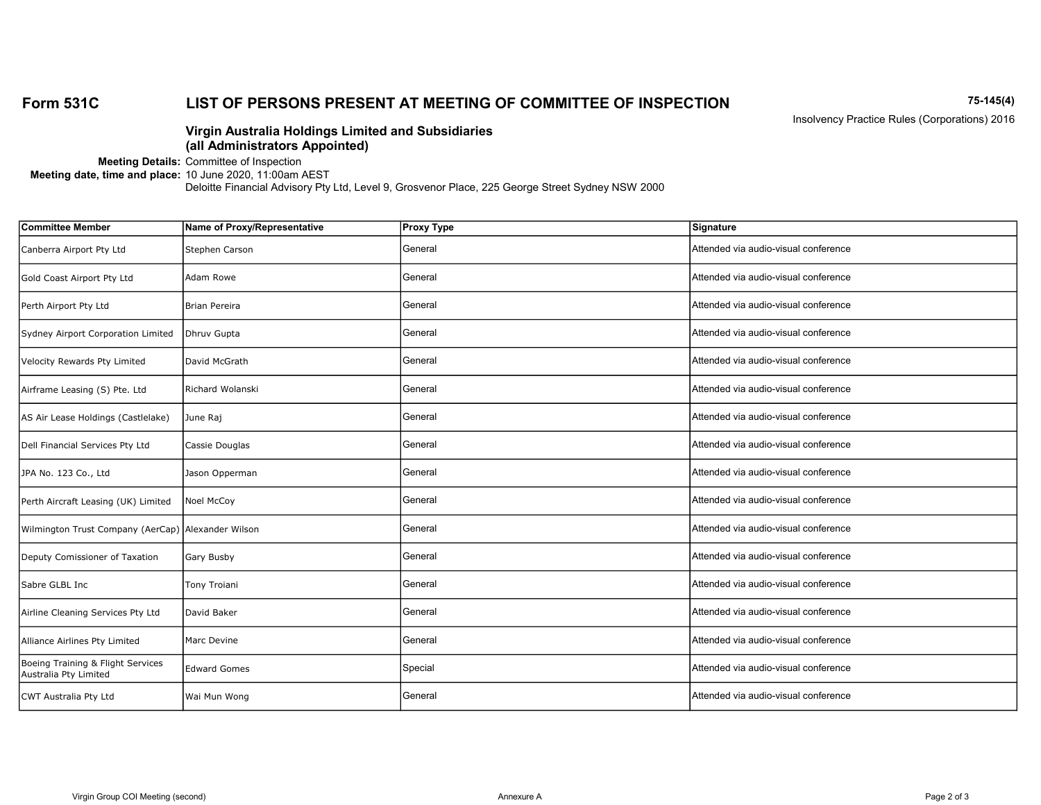#### Form 531C LIST OF PERSONS PRESENT AT MEETING OF COMMITTEE OF INSPECTION 75-145(4)

Insolvency Practice Rules (Corporations) 2016

#### Virgin Australia Holdings Limited and Subsidiaries (all Administrators Appointed)

Meeting Details: Committee of Inspection

Meeting date, time and place: 10 June 2020, 11:00am AEST

| <b>Committee Member</b>                                    | Name of Proxy/Representative | <b>Proxy Type</b> | Signature                            |
|------------------------------------------------------------|------------------------------|-------------------|--------------------------------------|
| Canberra Airport Pty Ltd                                   | Stephen Carson               | General           | Attended via audio-visual conference |
| Gold Coast Airport Pty Ltd                                 | Adam Rowe                    | General           | Attended via audio-visual conference |
| Perth Airport Pty Ltd                                      | Brian Pereira                | General           | Attended via audio-visual conference |
| Sydney Airport Corporation Limited                         | Dhruv Gupta                  | General           | Attended via audio-visual conference |
| Velocity Rewards Pty Limited                               | David McGrath                | General           | Attended via audio-visual conference |
| Airframe Leasing (S) Pte. Ltd                              | Richard Wolanski             | General           | Attended via audio-visual conference |
| AS Air Lease Holdings (Castlelake)                         | June Raj                     | General           | Attended via audio-visual conference |
| Dell Financial Services Pty Ltd                            | Cassie Douglas               | General           | Attended via audio-visual conference |
| JPA No. 123 Co., Ltd                                       | Jason Opperman               | General           | Attended via audio-visual conference |
| Perth Aircraft Leasing (UK) Limited                        | Noel McCoy                   | General           | Attended via audio-visual conference |
| Wilmington Trust Company (AerCap) Alexander Wilson         |                              | General           | Attended via audio-visual conference |
| Deputy Comissioner of Taxation                             | Gary Busby                   | General           | Attended via audio-visual conference |
| Sabre GLBL Inc                                             | Tony Troiani                 | General           | Attended via audio-visual conference |
| Airline Cleaning Services Pty Ltd                          | David Baker                  | General           | Attended via audio-visual conference |
| Alliance Airlines Pty Limited                              | Marc Devine                  | General           | Attended via audio-visual conference |
| Boeing Training & Flight Services<br>Australia Pty Limited | <b>Edward Gomes</b>          | Special           | Attended via audio-visual conference |
| CWT Australia Pty Ltd                                      | Wai Mun Wong                 | General           | Attended via audio-visual conference |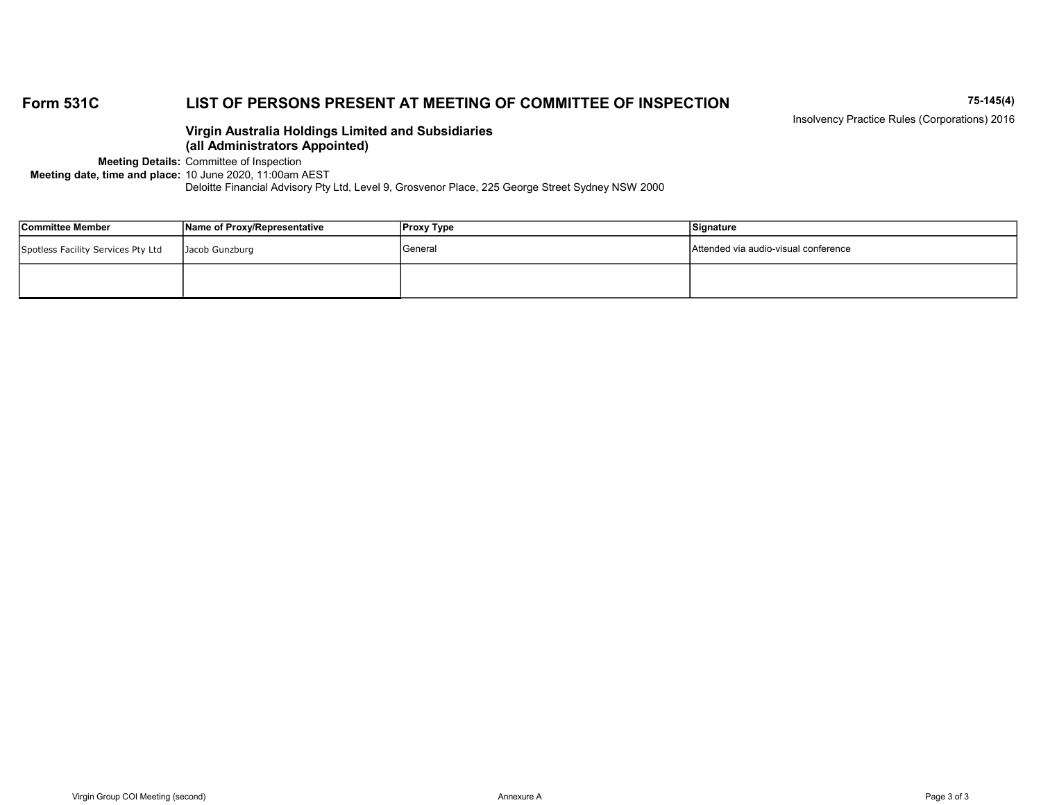#### Form 531C LIST OF PERSONS PRESENT AT MEETING OF COMMITTEE OF INSPECTION 75-145(4)

Insolvency Practice Rules (Corporations) 2016

#### Virgin Australia Holdings Limited and Subsidiaries (all Administrators Appointed)

Meeting Details: Committee of Inspection

Meeting date, time and place: 10 June 2020, 11:00am AEST

| Committee Member                   | Name of Proxy/Representative | Proxy Type | Signature                            |
|------------------------------------|------------------------------|------------|--------------------------------------|
| Spotless Facility Services Pty Ltd | Jacob Gunzburg               | General    | Attended via audio-visual conference |
|                                    |                              |            |                                      |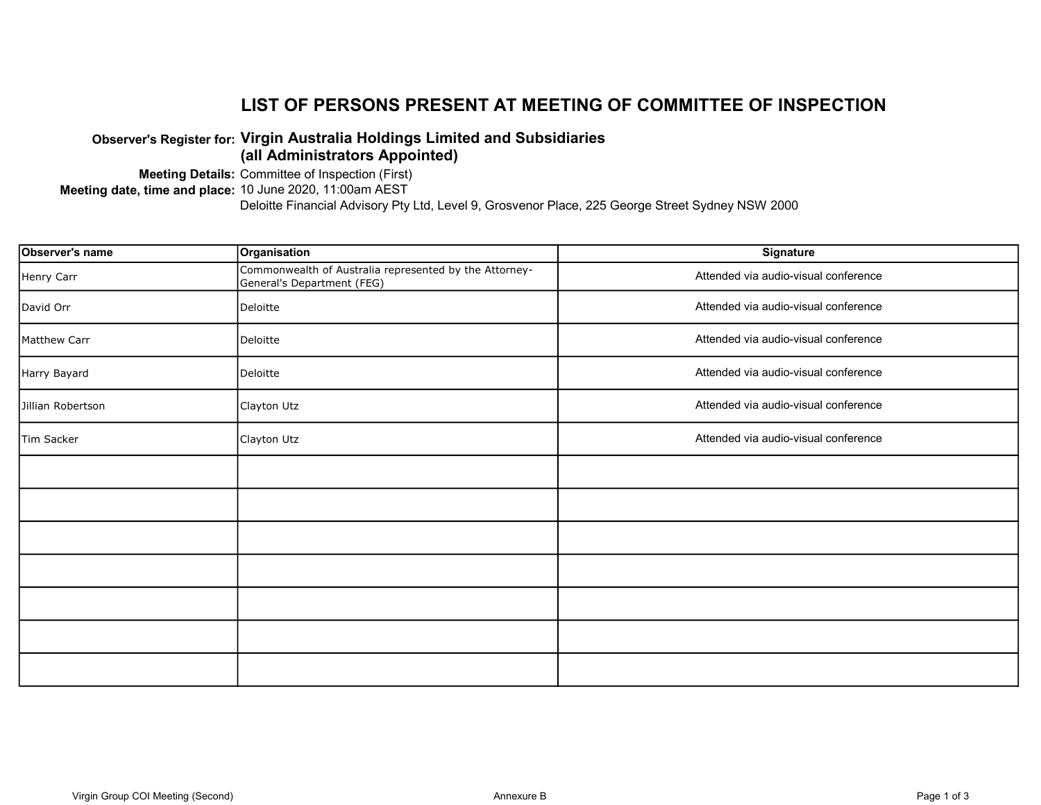### LIST OF PERSONS PRESENT AT MEETING OF COMMITTEE OF INSPECTION

#### Observer's Register for: Virgin Australia Holdings Limited and Subsidiaries (all Administrators Appointed)

Meeting Details: Committee of Inspection (First)

Meeting date, time and place: 10 June 2020, 11:00am AEST

| Observer's name   | Organisation                                                                         | Signature                            |
|-------------------|--------------------------------------------------------------------------------------|--------------------------------------|
| Henry Carr        | Commonwealth of Australia represented by the Attorney-<br>General's Department (FEG) | Attended via audio-visual conference |
| David Orr         | Deloitte                                                                             | Attended via audio-visual conference |
| Matthew Carr      | Deloitte                                                                             | Attended via audio-visual conference |
| Harry Bayard      | Deloitte                                                                             | Attended via audio-visual conference |
| Jillian Robertson | Clayton Utz                                                                          | Attended via audio-visual conference |
| Tim Sacker        | Clayton Utz                                                                          | Attended via audio-visual conference |
|                   |                                                                                      |                                      |
|                   |                                                                                      |                                      |
|                   |                                                                                      |                                      |
|                   |                                                                                      |                                      |
|                   |                                                                                      |                                      |
|                   |                                                                                      |                                      |
|                   |                                                                                      |                                      |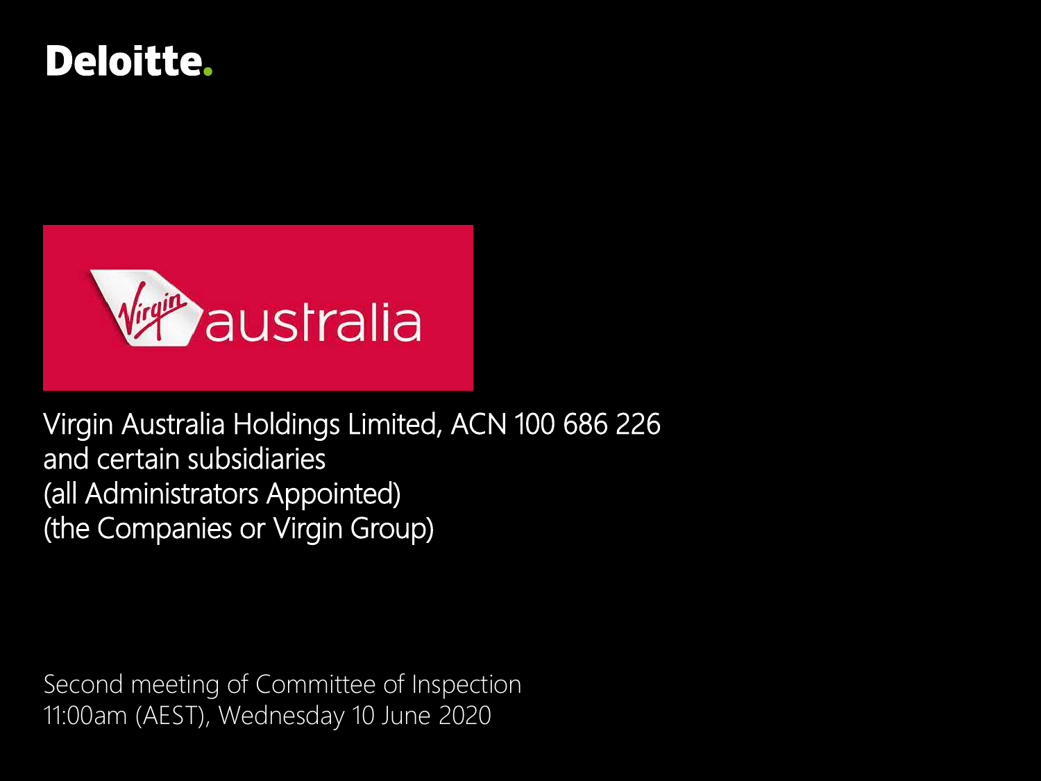## **Deloitte.**



Virgin Australia Holdings Limited, ACN 100 686 226 and certain subsidiaries (all Administrators Appointed) (the Companies or Virgin Group)

Second meeting of Committee of Inspection 11:00am (AEST), Wednesday 10 June 2020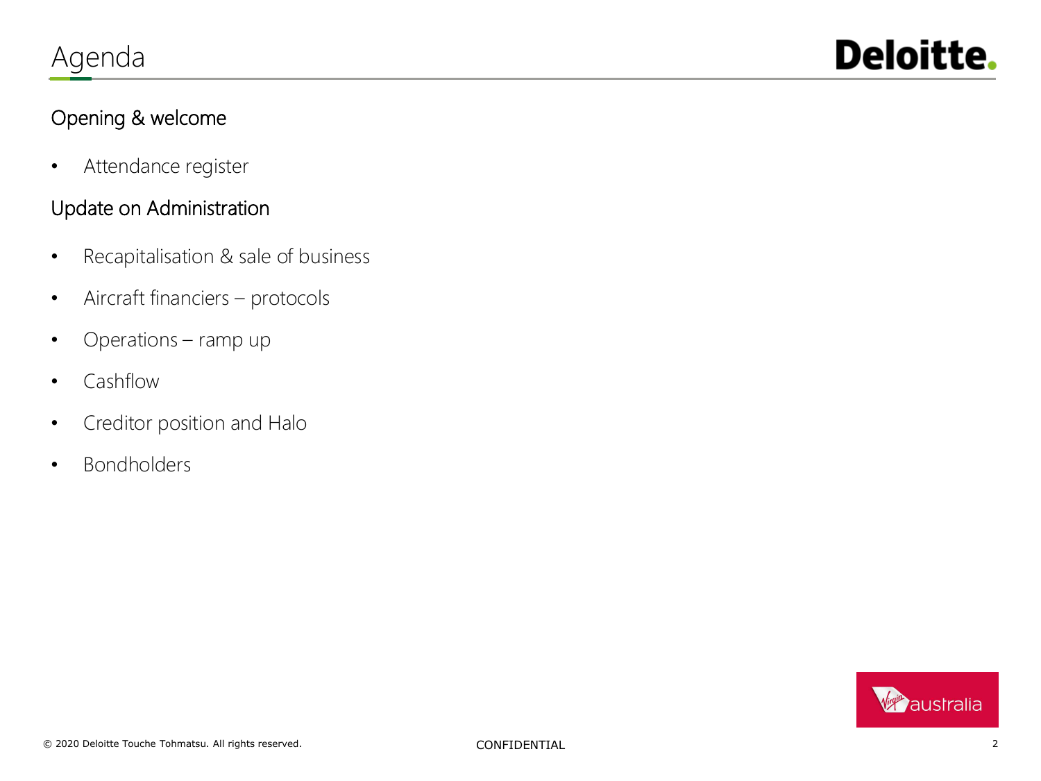

### Opening & welcome

• Attendance register

### Update on Administration

- Recapitalisation & sale of business
- Aircraft financiers protocols
- Operations ramp up
- Cashflow
- Creditor position and Halo
- Bondholders

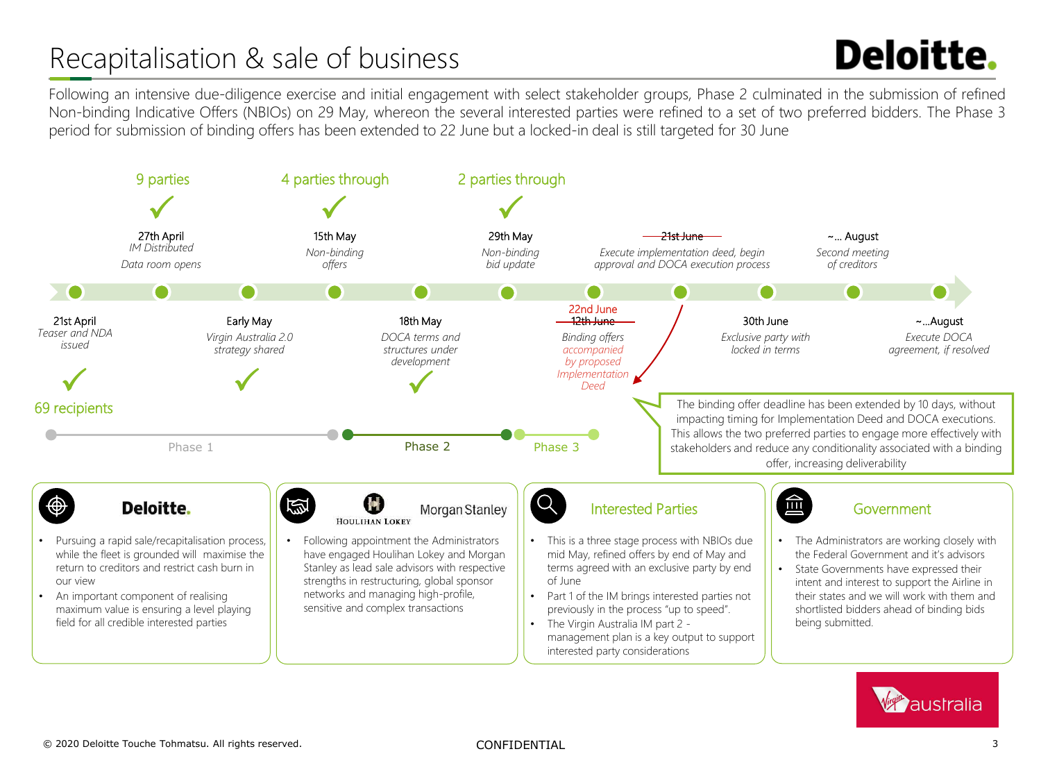## Recapitalisation & sale of business

# **Deloitte.**

Following an intensive due-diligence exercise and initial engagement with select stakeholder groups, Phase 2 culminated in the submission of refined Non-binding Indicative Offers (NBIOs) on 29 May, whereon the several interested parties were refined to a set of two preferred bidders. The Phase 3 period for submission of binding offers has been extended to 22 June but a locked-in deal is still targeted for 30 June



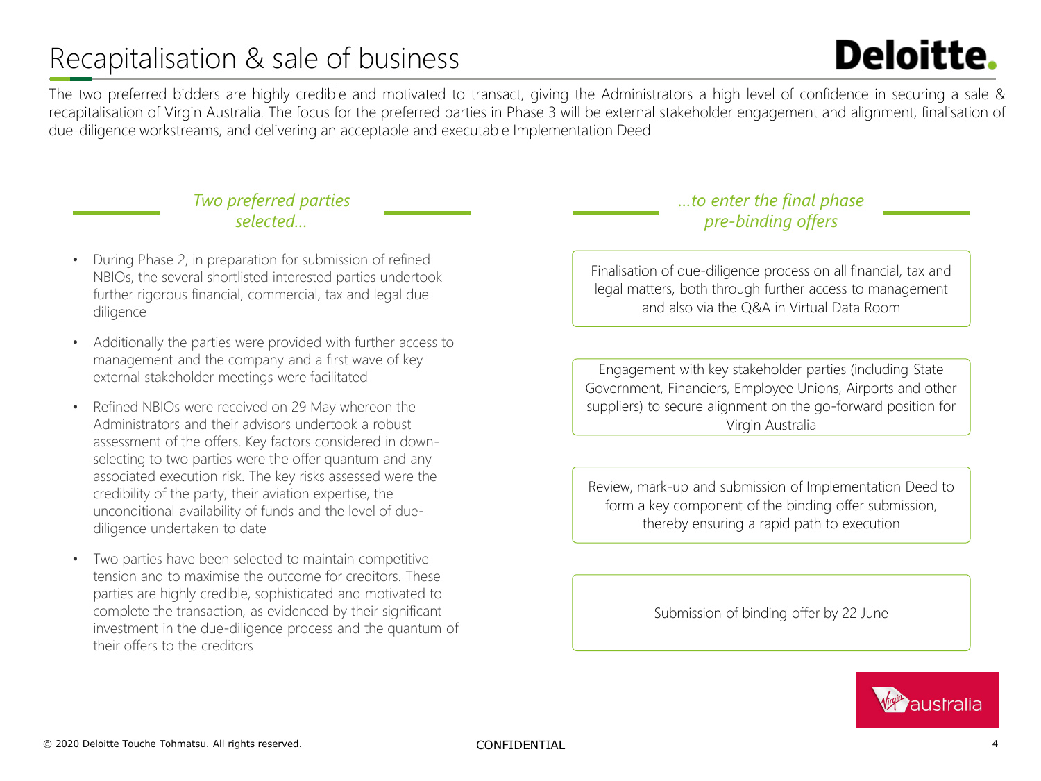## Recapitalisation & sale of business

# **Deloitte.**

The two preferred bidders are highly credible and motivated to transact, giving the Administrators a high level of confidence in securing a sale & recapitalisation of Virgin Australia. The focus for the preferred parties in Phase 3 will be external stakeholder engagement and alignment, finalisation of due-diligence workstreams, and delivering an acceptable and executable Implementation Deed

#### *Two preferred parties selected…*

- During Phase 2, in preparation for submission of refined NBIOs, the several shortlisted interested parties undertook further rigorous financial, commercial, tax and legal due diligence
- Additionally the parties were provided with further access to management and the company and a first wave of key external stakeholder meetings were facilitated
- Refined NBIOs were received on 29 May whereon the Administrators and their advisors undertook a robust assessment of the offers. Key factors considered in downselecting to two parties were the offer quantum and any associated execution risk. The key risks assessed were the credibility of the party, their aviation expertise, the unconditional availability of funds and the level of duediligence undertaken to date
- Two parties have been selected to maintain competitive tension and to maximise the outcome for creditors. These parties are highly credible, sophisticated and motivated to complete the transaction, as evidenced by their significant investment in the due-diligence process and the quantum of their offers to the creditors

### *…to enter the final phase pre-binding offers*

Finalisation of due-diligence process on all financial, tax and legal matters, both through further access to management and also via the Q&A in Virtual Data Room

Engagement with key stakeholder parties (including State Government, Financiers, Employee Unions, Airports and other suppliers) to secure alignment on the go-forward position for Virgin Australia

Review, mark-up and submission of Implementation Deed to form a key component of the binding offer submission, thereby ensuring a rapid path to execution

Submission of binding offer by 22 June

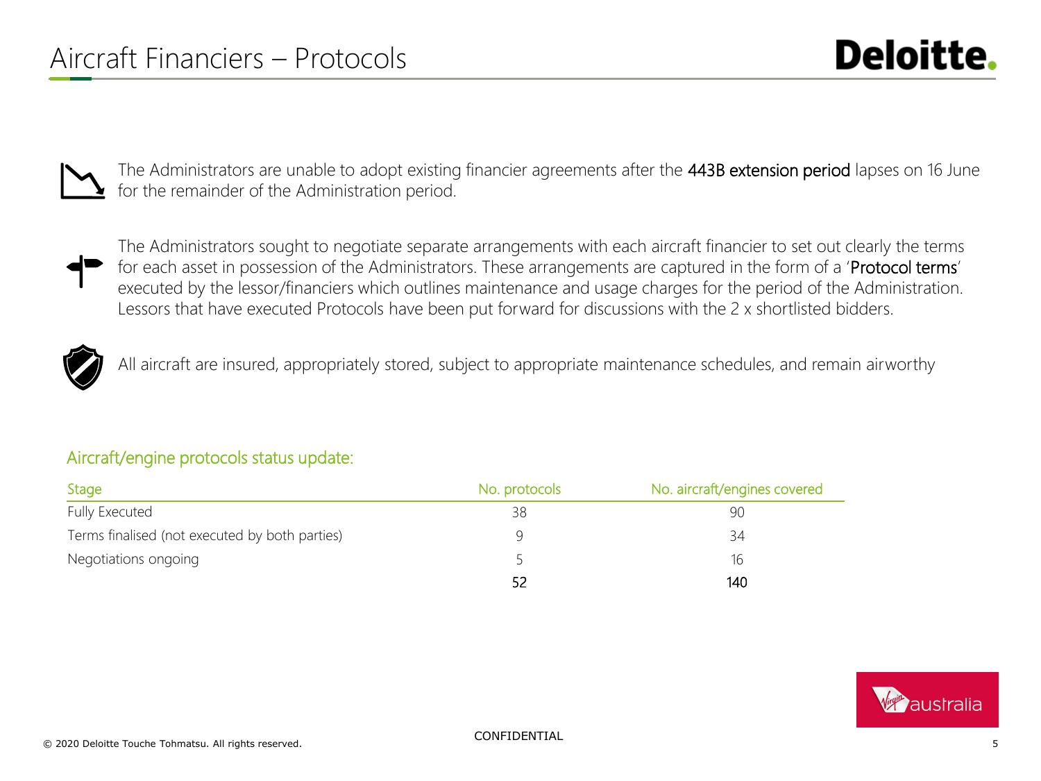The Administrators are unable to adopt existing financier agreements after the 443B extension period lapses on 16 June for the remainder of the Administration period.



The Administrators sought to negotiate separate arrangements with each aircraft financier to set out clearly the terms for each asset in possession of the Administrators. These arrangements are captured in the form of a 'Protocol terms' executed by the lessor/financiers which outlines maintenance and usage charges for the period of the Administration. Lessors that have executed Protocols have been put forward for discussions with the 2 x shortlisted bidders.



All aircraft are insured, appropriately stored, subject to appropriate maintenance schedules, and remain airworthy

### Aircraft/engine protocols status update:

| Stage                                          | No. protocols | No. aircraft/engines covered |
|------------------------------------------------|---------------|------------------------------|
| <b>Fully Executed</b>                          | 38            | 90                           |
| Terms finalised (not executed by both parties) | Q             | 34                           |
| Negotiations ongoing                           |               | 16                           |
|                                                | -52           | 140                          |

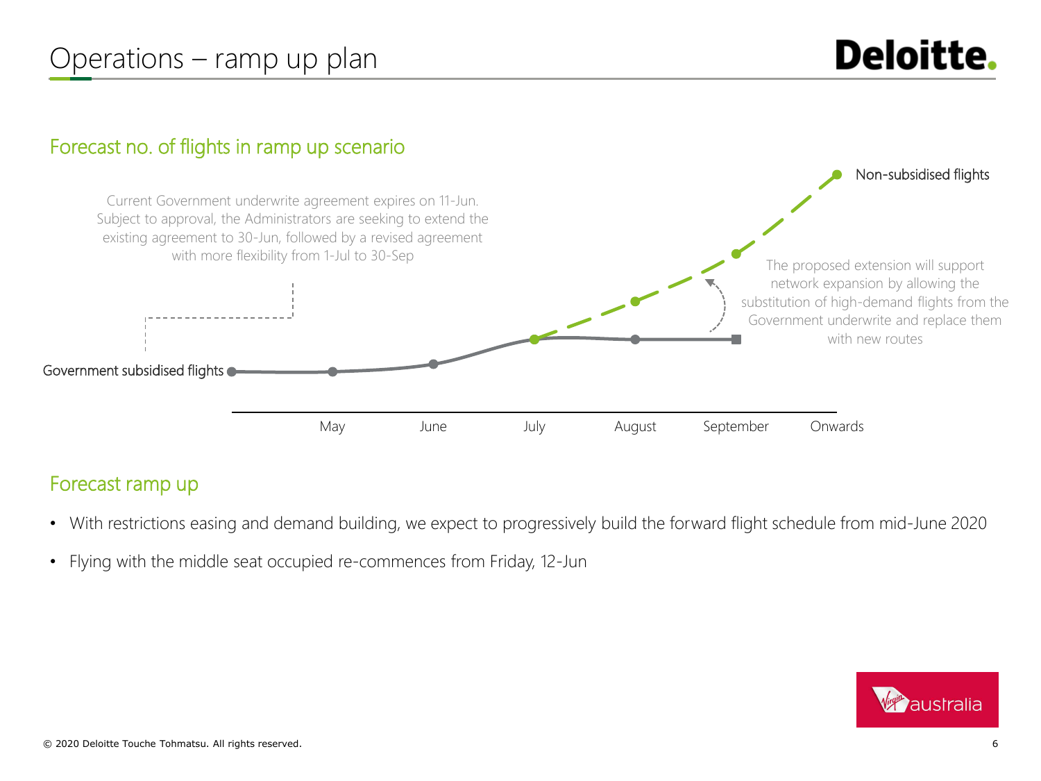## Operations – ramp up plan

### Forecast no. of flights in ramp up scenario



### Forecast ramp up

- With restrictions easing and demand building, we expect to progressively build the forward flight schedule from mid-June 2020
- Flying with the middle seat occupied re-commences from Friday, 12-Jun

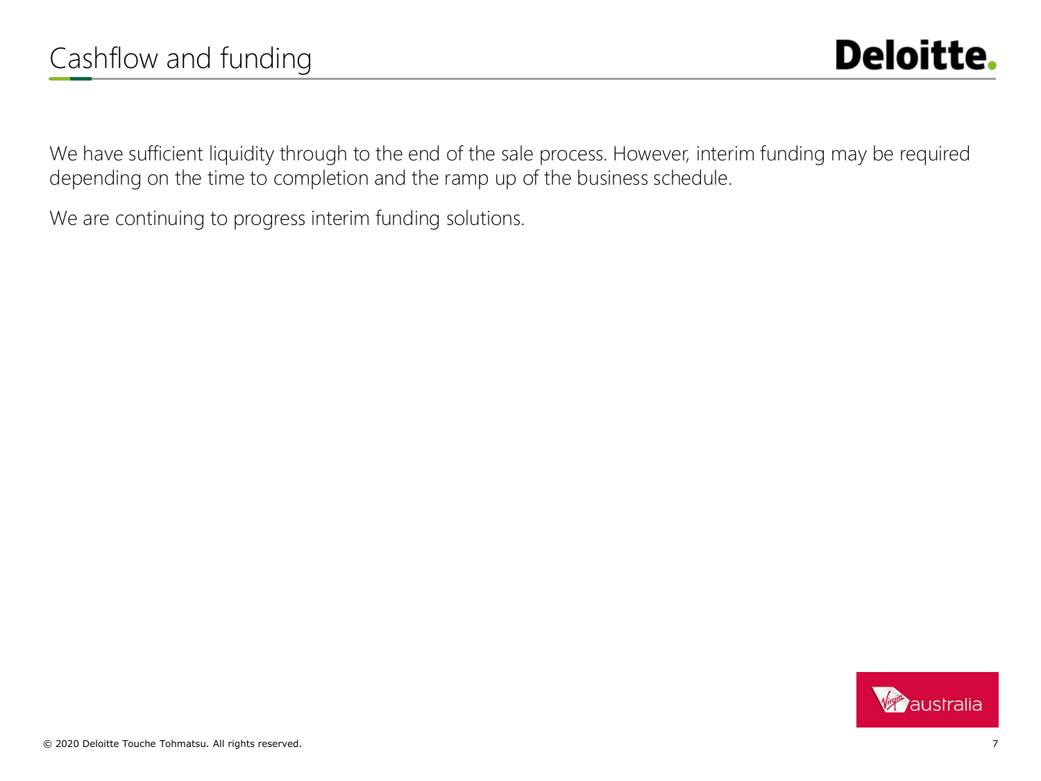We have sufficient liquidity through to the end of the sale process. However, interim funding may be required depending on the time to completion and the ramp up of the business schedule.

We are continuing to progress interim funding solutions.

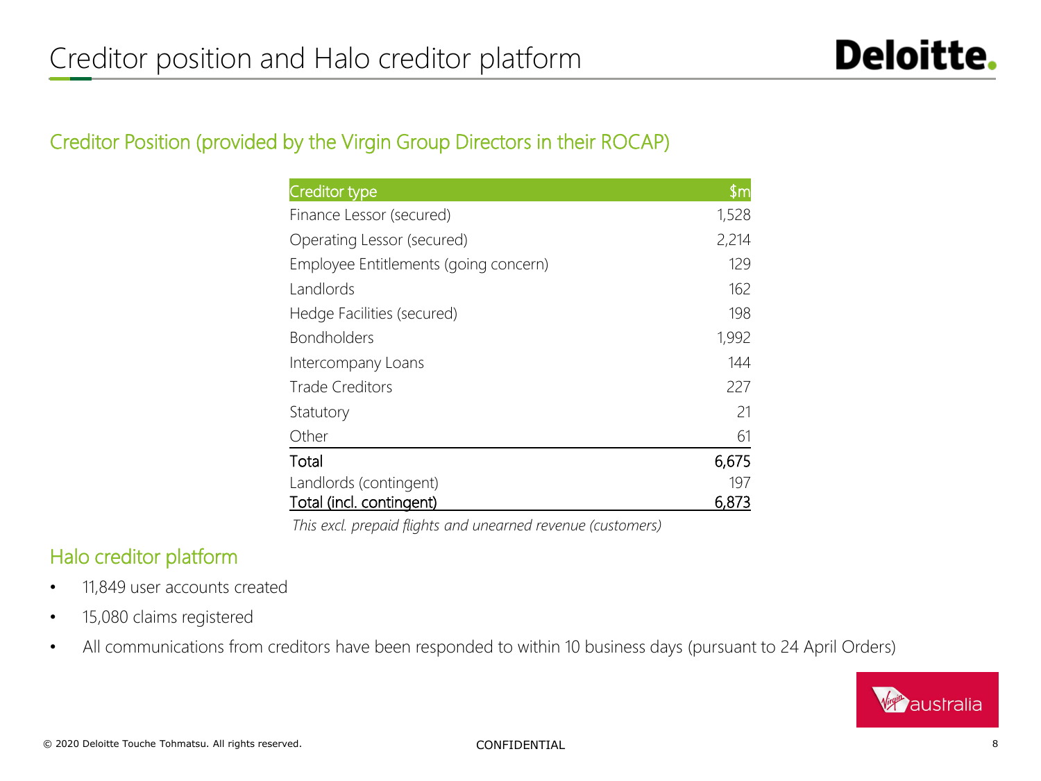### Creditor Position (provided by the Virgin Group Directors in their ROCAP)

| Creditor type                         | \$m   |
|---------------------------------------|-------|
| Finance Lessor (secured)              | 1,528 |
| Operating Lessor (secured)            | 2,214 |
| Employee Entitlements (going concern) | 129   |
| Landlords                             | 162   |
| Hedge Facilities (secured)            | 198   |
| <b>Bondholders</b>                    | 1,992 |
| Intercompany Loans                    | 144   |
| <b>Trade Creditors</b>                | 227   |
| Statutory                             | 21    |
| Other                                 | 61    |
| Total                                 | 6,675 |
| Landlords (contingent)                | 197   |
| Total (incl. contingent)              | 6,873 |

*This excl. prepaid flights and unearned revenue (customers)*

### Halo creditor platform

- 11,849 user accounts created
- 15,080 claims registered
- All communications from creditors have been responded to within 10 business days (pursuant to 24 April Orders)

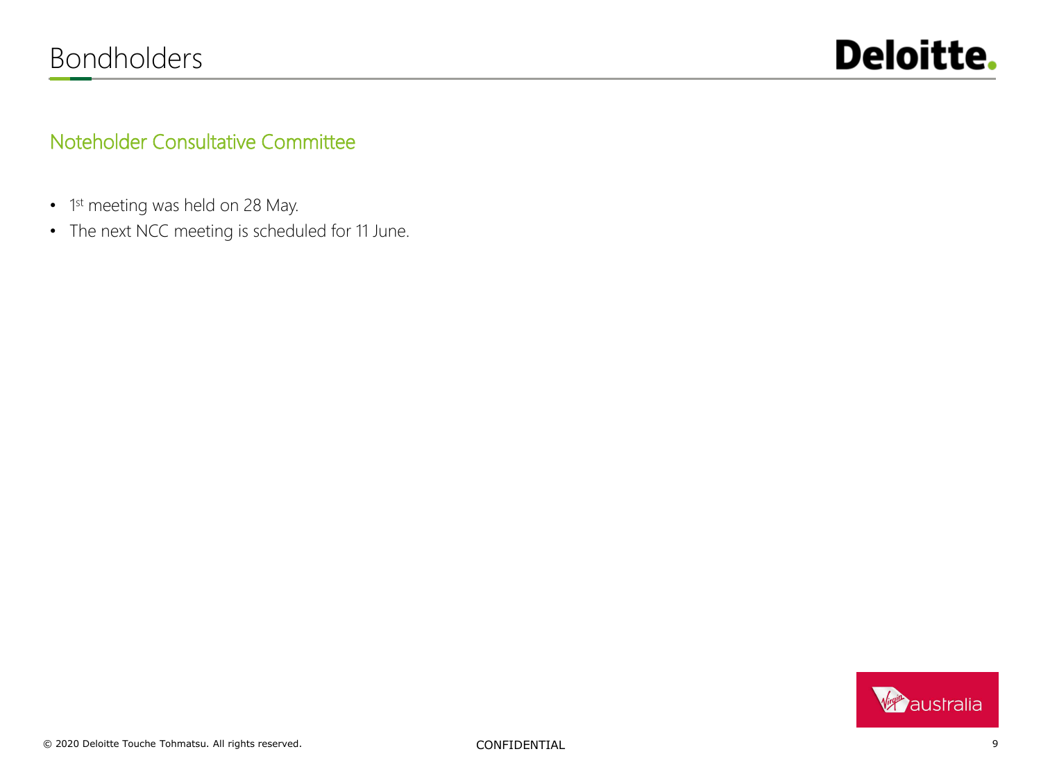

### Noteholder Consultative Committee

- 1<sup>st</sup> meeting was held on 28 May.
- The next NCC meeting is scheduled for 11 June.

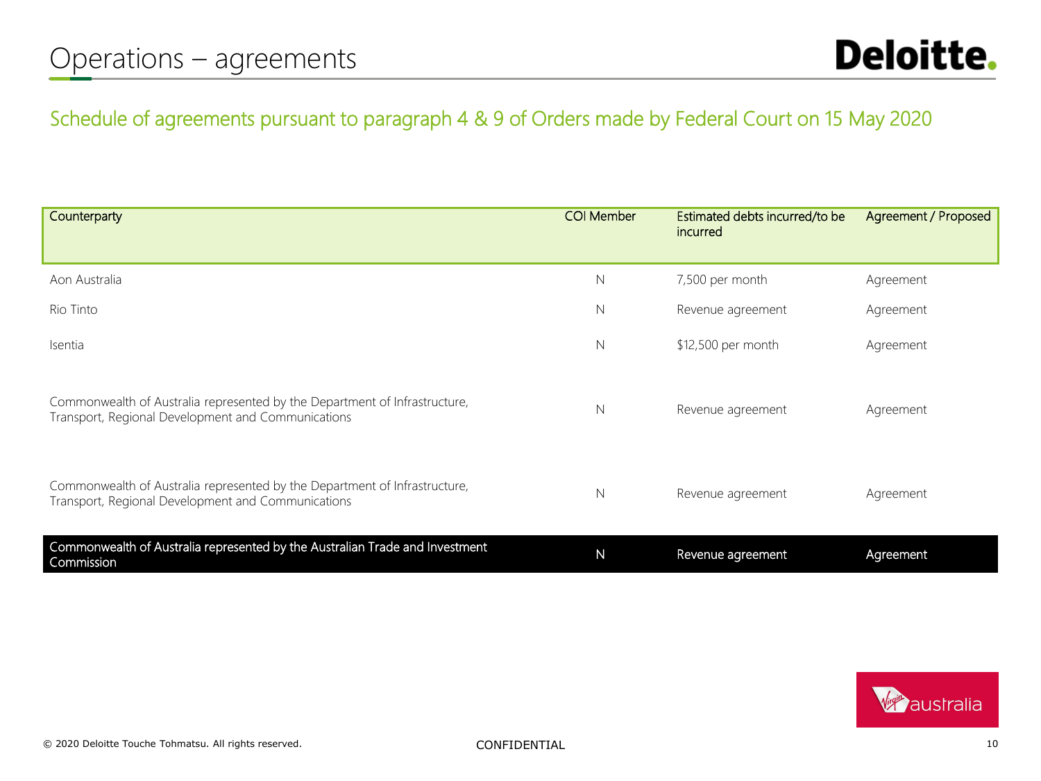### Schedule of agreements pursuant to paragraph 4 & 9 of Orders made by Federal Court on 15 May 2020

| Counterparty                                                                                                                     | <b>COI Member</b> | Estimated debts incurred/to be<br>incurred | Agreement / Proposed |
|----------------------------------------------------------------------------------------------------------------------------------|-------------------|--------------------------------------------|----------------------|
| Aon Australia                                                                                                                    | N                 | 7,500 per month                            | Agreement            |
| Rio Tinto                                                                                                                        | N                 | Revenue agreement                          | Agreement            |
| Isentia                                                                                                                          | N                 | \$12,500 per month                         | Agreement            |
| Commonwealth of Australia represented by the Department of Infrastructure,<br>Transport, Regional Development and Communications | N                 | Revenue agreement                          | Agreement            |
| Commonwealth of Australia represented by the Department of Infrastructure,<br>Transport, Regional Development and Communications | N                 | Revenue agreement                          | Agreement            |
| Commonwealth of Australia represented by the Australian Trade and Investment<br>Commission                                       | $\mathsf{N}$      | Revenue agreement                          | Agreement            |

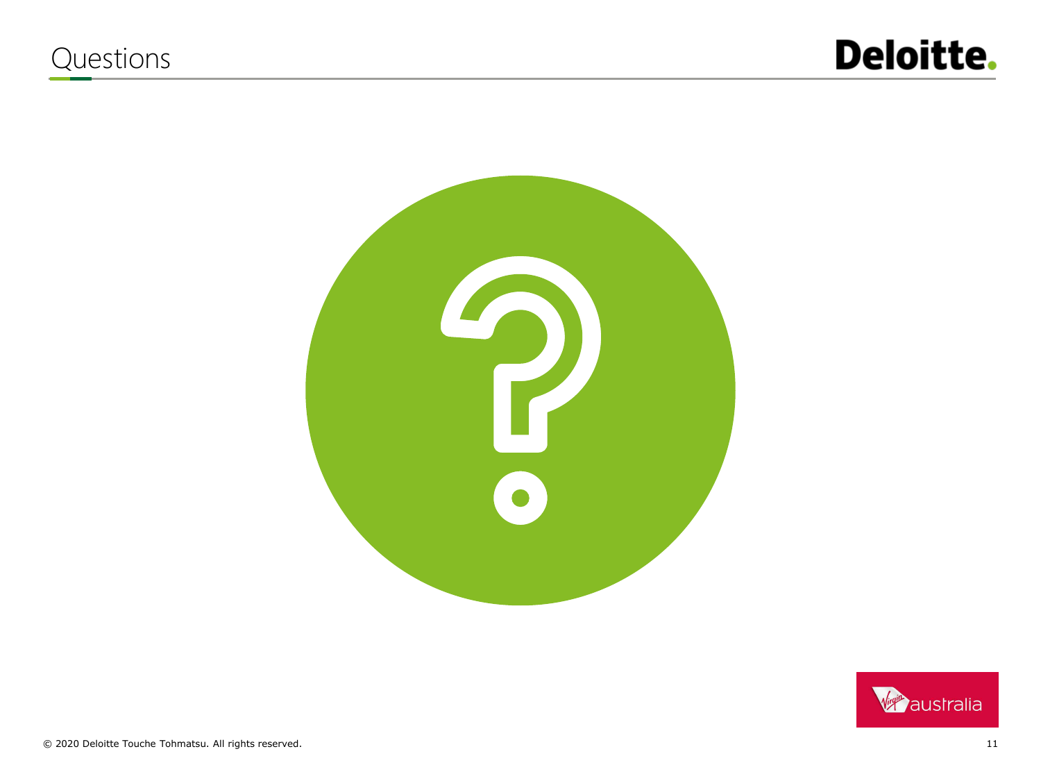